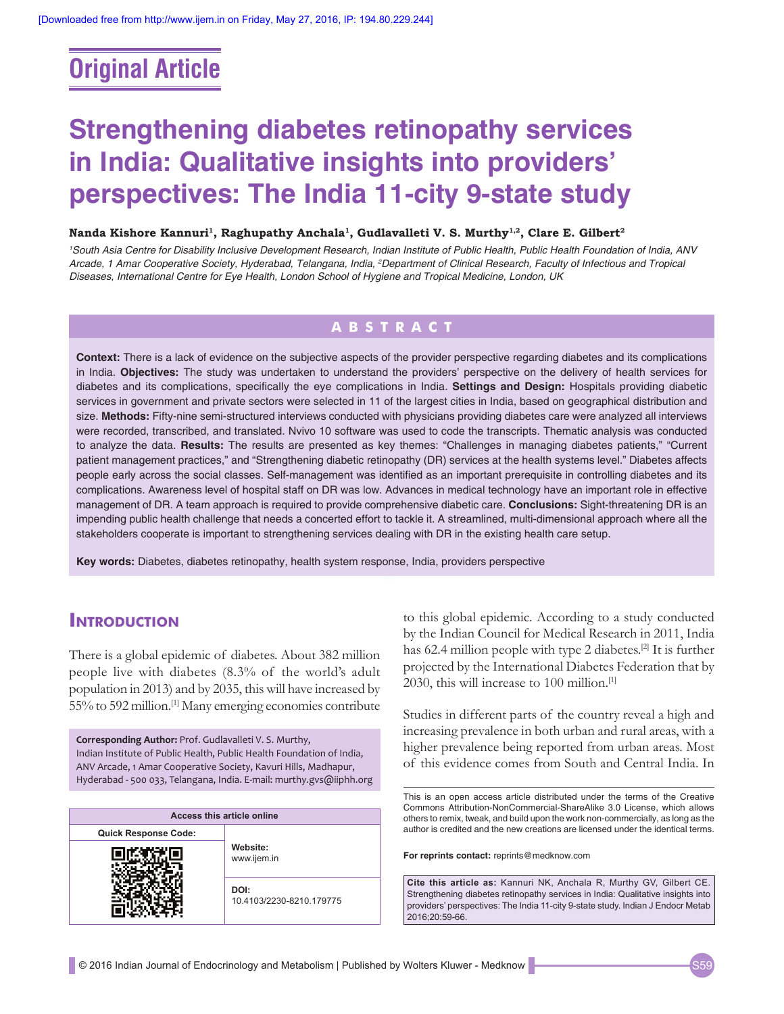# **Original Article**

# **Strengthening diabetes retinopathy services in India: Qualitative insights into providers' perspectives: The India 11‑city 9‑state study**

#### Nanda Kishore Kannuri<sup>1</sup>, Raghupathy Anchala<sup>1</sup>, Gudlavalleti V. S. Murthy<sup>1,2</sup>, Clare E. Gilbert<sup>2</sup>

*1 South Asia Centre for Disability Inclusive Development Research, Indian Institute of Public Health, Public Health Foundation of India, ANV Arcade, 1 Amar Cooperative Society, Hyderabad, Telangana, India, 2 Department of Clinical Research, Faculty of Infectious and Tropical Diseases, International Centre for Eye Health, London School of Hygiene and Tropical Medicine, London, UK*

# **ABSTRACT**

**Context:** There is a lack of evidence on the subjective aspects of the provider perspective regarding diabetes and its complications in India. **Objectives:** The study was undertaken to understand the providers' perspective on the delivery of health services for diabetes and its complications, specifically the eye complications in India. **Settings and Design:** Hospitals providing diabetic services in government and private sectors were selected in 11 of the largest cities in India, based on geographical distribution and size. Methods: Fifty-nine semi-structured interviews conducted with physicians providing diabetes care were analyzed all interviews were recorded, transcribed, and translated. Nvivo 10 software was used to code the transcripts. Thematic analysis was conducted to analyze the data. **Results:** The results are presented as key themes: "Challenges in managing diabetes patients," "Current patient management practices," and "Strengthening diabetic retinopathy (DR) services at the health systems level." Diabetes affects people early across the social classes. Self-management was identified as an important prerequisite in controlling diabetes and its complications. Awareness level of hospital staff on DR was low. Advances in medical technology have an important role in effective management of DR. A team approach is required to provide comprehensive diabetic care. **Conclusions:** Sight-threatening DR is an impending public health challenge that needs a concerted effort to tackle it. A streamlined, multi-dimensional approach where all the stakeholders cooperate is important to strengthening services dealing with DR in the existing health care setup.

**Key words:** Diabetes, diabetes retinopathy, health system response, India, providers perspective

# **INTRODUCTION**

There is a global epidemic of diabetes. About 382 million people live with diabetes (8.3% of the world's adult population in 2013) and by 2035, this will have increased by 55% to 592 million.[1] Many emerging economies contribute

**Corresponding Author:** Prof. Gudlavalleti V. S. Murthy, Indian Institute of Public Health, Public Health Foundation of India, ANV Arcade, 1 Amar Cooperative Society, Kavuri Hills, Madhapur, Hyderabad - 500 033, Telangana, India. E-mail: murthy.gvs@iiphh.org

| Access this article online  |                                  |  |
|-----------------------------|----------------------------------|--|
| <b>Quick Response Code:</b> |                                  |  |
|                             | Website:<br>www.ijem.in          |  |
|                             | DOI:<br>10.4103/2230-8210.179775 |  |

to this global epidemic. According to a study conducted by the Indian Council for Medical Research in 2011, India has 62.4 million people with type 2 diabetes.<sup>[2]</sup> It is further projected by the International Diabetes Federation that by 2030, this will increase to 100 million.<sup>[1]</sup>

Studies in different parts of the country reveal a high and increasing prevalence in both urban and rural areas, with a higher prevalence being reported from urban areas. Most of this evidence comes from South and Central India. In

This is an open access article distributed under the terms of the Creative Commons Attribution‑NonCommercial‑ShareAlike 3.0 License, which allows others to remix, tweak, and build upon the work non‑commercially, as long as the author is credited and the new creations are licensed under the identical terms.

**For reprints contact:** reprints@medknow.com

**Cite this article as:** Kannuri NK, Anchala R, Murthy GV, Gilbert CE. Strengthening diabetes retinopathy services in India: Qualitative insights into providers' perspectives: The India 11-city 9-state study. Indian J Endocr Metab 2016;20:59-66.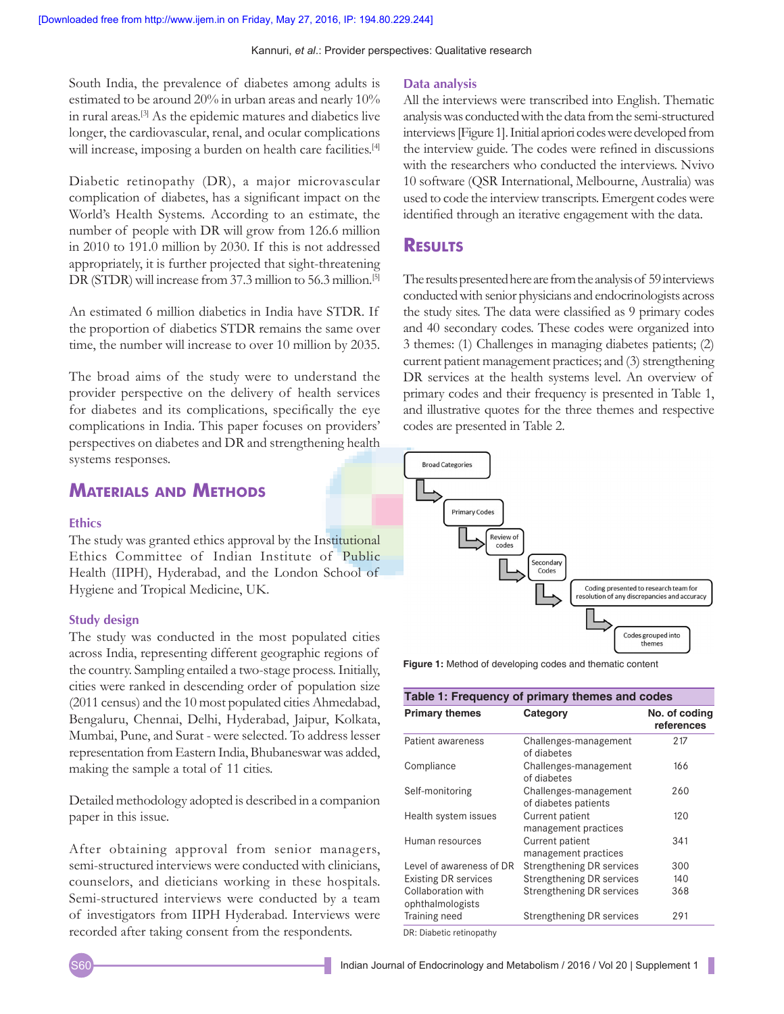South India, the prevalence of diabetes among adults is estimated to be around 20% in urban areas and nearly 10% in rural areas.[3] As the epidemic matures and diabetics live longer, the cardiovascular, renal, and ocular complications will increase, imposing a burden on health care facilities.<sup>[4]</sup>

Diabetic retinopathy (DR), a major microvascular complication of diabetes, has a significant impact on the World's Health Systems. According to an estimate, the number of people with DR will grow from 126.6 million in 2010 to 191.0 million by 2030. If this is not addressed appropriately, it is further projected that sight-threatening DR (STDR) will increase from 37.3 million to 56.3 million.<sup>[5]</sup>

An estimated 6 million diabetics in India have STDR. If the proportion of diabetics STDR remains the same over time, the number will increase to over 10 million by 2035.

The broad aims of the study were to understand the provider perspective on the delivery of health services for diabetes and its complications, specifically the eye complications in India. This paper focuses on providers' perspectives on diabetes and DR and strengthening health systems responses.

# **Materials and Methods**

#### **Ethics**

The study was granted ethics approval by the Institutional Ethics Committee of Indian Institute of Public Health (IIPH), Hyderabad, and the London School of Hygiene and Tropical Medicine, UK.

#### **Study design**

The study was conducted in the most populated cities across India, representing different geographic regions of the country. Sampling entailed a two-stage process. Initially, cities were ranked in descending order of population size (2011 census) and the 10 most populated cities Ahmedabad, Bengaluru, Chennai, Delhi, Hyderabad, Jaipur, Kolkata, Mumbai, Pune, and Surat - were selected. To address lesser representation from Eastern India, Bhubaneswar was added, making the sample a total of 11 cities.

Detailed methodology adopted is described in a companion paper in this issue.

After obtaining approval from senior managers, semi-structured interviews were conducted with clinicians, counselors, and dieticians working in these hospitals. Semi-structured interviews were conducted by a team of investigators from IIPH Hyderabad. Interviews were recorded after taking consent from the respondents.

#### **Data analysis**

All the interviews were transcribed into English. Thematic analysis was conducted with the data from the semi-structured interviews [Figure 1]. Initial apriori codes were developed from the interview guide. The codes were refined in discussions with the researchers who conducted the interviews. Nvivo 10 software (QSR International, Melbourne, Australia) was used to code the interview transcripts. Emergent codes were identified through an iterative engagement with the data.

## **Results**

The results presented here are from the analysis of 59 interviews conducted with senior physicians and endocrinologists across the study sites. The data were classified as 9 primary codes and 40 secondary codes. These codes were organized into 3 themes: (1) Challenges in managing diabetes patients; (2) current patient management practices; and (3) strengthening DR services at the health systems level. An overview of primary codes and their frequency is presented in Table 1, and illustrative quotes for the three themes and respective codes are presented in Table 2.



**Figure 1:** Method of developing codes and thematic content

| <b>Primary themes</b>                  | Category                                      | No. of coding<br>references |
|----------------------------------------|-----------------------------------------------|-----------------------------|
| Patient awareness                      | Challenges-management<br>of diabetes          | 217                         |
| Compliance                             | Challenges-management<br>of diabetes          | 166                         |
| Self-monitoring                        | Challenges-management<br>of diabetes patients | 260                         |
| Health system issues                   | Current patient<br>management practices       | 120                         |
| Human resources                        | Current patient<br>management practices       | 341                         |
| Level of awareness of DR               | <b>Strengthening DR services</b>              | 300                         |
| <b>Existing DR services</b>            | Strengthening DR services                     | 140                         |
| Collaboration with<br>ophthalmologists | Strengthening DR services                     | 368                         |
| Training need                          | <b>Strengthening DR services</b>              | 291                         |

DR: Diabetic retinopathy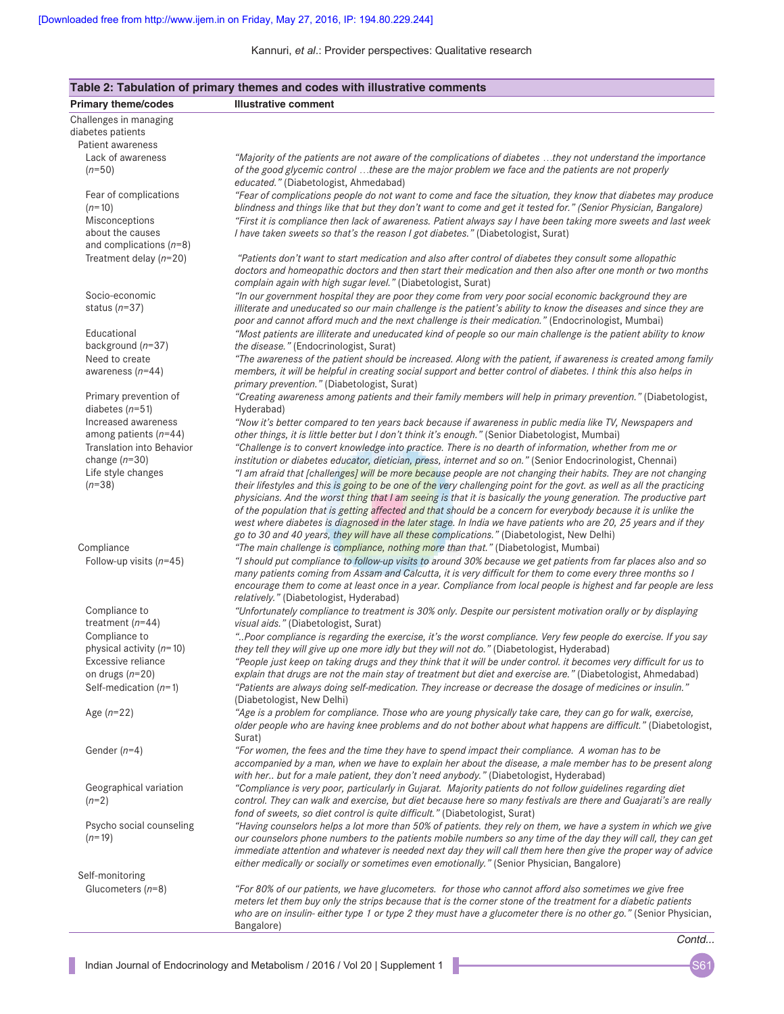| Table 2: Tabulation of primary themes and codes with illustrative comments |                                                                                                                                                                                                                                   |  |  |
|----------------------------------------------------------------------------|-----------------------------------------------------------------------------------------------------------------------------------------------------------------------------------------------------------------------------------|--|--|
| <b>Primary theme/codes</b>                                                 | <b>Illustrative comment</b>                                                                                                                                                                                                       |  |  |
| Challenges in managing<br>diabetes patients                                |                                                                                                                                                                                                                                   |  |  |
| Patient awareness                                                          |                                                                                                                                                                                                                                   |  |  |
| Lack of awareness                                                          | "Majority of the patients are not aware of the complications of diabetes they not understand the importance                                                                                                                       |  |  |
| $(n=50)$                                                                   | of the good glycemic control these are the major problem we face and the patients are not properly<br>educated." (Diabetologist, Ahmedabad)                                                                                       |  |  |
| Fear of complications                                                      | "Fear of complications people do not want to come and face the situation, they know that diabetes may produce                                                                                                                     |  |  |
| $(n=10)$                                                                   | blindness and things like that but they don't want to come and get it tested for." (Senior Physician, Bangalore)                                                                                                                  |  |  |
| Misconceptions                                                             | "First it is compliance then lack of awareness. Patient always say I have been taking more sweets and last week                                                                                                                   |  |  |
| about the causes                                                           | I have taken sweets so that's the reason I got diabetes." (Diabetologist, Surat)                                                                                                                                                  |  |  |
| and complications $(n=8)$                                                  |                                                                                                                                                                                                                                   |  |  |
| Treatment delay $(n=20)$                                                   | "Patients don't want to start medication and also after control of diabetes they consult some allopathic<br>doctors and homeopathic doctors and then start their medication and then also after one month or two months           |  |  |
|                                                                            | complain again with high sugar level." (Diabetologist, Surat)                                                                                                                                                                     |  |  |
| Socio-economic                                                             | "In our government hospital they are poor they come from very poor social economic background they are                                                                                                                            |  |  |
| status $(n=37)$                                                            | illiterate and uneducated so our main challenge is the patient's ability to know the diseases and since they are                                                                                                                  |  |  |
|                                                                            | poor and cannot afford much and the next challenge is their medication." (Endocrinologist, Mumbai)                                                                                                                                |  |  |
| Educational                                                                | "Most patients are illiterate and uneducated kind of people so our main challenge is the patient ability to know                                                                                                                  |  |  |
| background $(n=37)$                                                        | the disease." (Endocrinologist, Surat)                                                                                                                                                                                            |  |  |
| Need to create                                                             | "The awareness of the patient should be increased. Along with the patient, if awareness is created among family                                                                                                                   |  |  |
| awareness $(n=44)$                                                         | members, it will be helpful in creating social support and better control of diabetes. I think this also helps in                                                                                                                 |  |  |
|                                                                            | primary prevention." (Diabetologist, Surat)                                                                                                                                                                                       |  |  |
| Primary prevention of                                                      | "Creating awareness among patients and their family members will help in primary prevention." (Diabetologist,                                                                                                                     |  |  |
| diabetes $(n=51)$                                                          | Hyderabad)                                                                                                                                                                                                                        |  |  |
| Increased awareness                                                        | "Now it's better compared to ten years back because if awareness in public media like TV, Newspapers and                                                                                                                          |  |  |
| among patients $(n=44)$                                                    | other things, it is little better but I don't think it's enough." (Senior Diabetologist, Mumbai)                                                                                                                                  |  |  |
| <b>Translation into Behavior</b>                                           | "Challenge is to convert knowledge into practice. There is no dearth of information, whether from me or                                                                                                                           |  |  |
| change $(n=30)$                                                            | institution or diabetes educator, dietician, press, internet and so on." (Senior Endocrinologist, Chennai)                                                                                                                        |  |  |
| Life style changes                                                         | "I am afraid that [challenges] will be more because people are not changing their habits. They are not changing                                                                                                                   |  |  |
| $(n=38)$                                                                   | their lifestyles and this is going to be one of the very challenging point for the govt. as well as all the practicing                                                                                                            |  |  |
|                                                                            | physicians. And the worst thing that I am seeing is that it is basically the young generation. The productive part                                                                                                                |  |  |
|                                                                            | of the population that is getting affected and that should be a concern for everybody because it is unlike the<br>west where diabetes is diagnosed in the later stage. In India we have patients who are 20, 25 years and if they |  |  |
|                                                                            | go to 30 and 40 years, they will have all these complications." (Diabetologist, New Delhi)                                                                                                                                        |  |  |
| Compliance                                                                 | "The main challenge is compliance, nothing more than that." (Diabetologist, Mumbai)                                                                                                                                               |  |  |
| Follow-up visits $(n=45)$                                                  | "I should put compliance to follow-up visits to around 30% because we get patients from far places also and so                                                                                                                    |  |  |
|                                                                            | many patients coming from Assam and Calcutta, it is very difficult for them to come every three months so I                                                                                                                       |  |  |
|                                                                            | encourage them to come at least once in a year. Compliance from local people is highest and far people are less                                                                                                                   |  |  |
|                                                                            | relatively." (Diabetologist, Hyderabad)                                                                                                                                                                                           |  |  |
| Compliance to                                                              | "Unfortunately compliance to treatment is 30% only. Despite our persistent motivation orally or by displaying                                                                                                                     |  |  |
| treatment $(n=44)$                                                         | visual aids." (Diabetologist, Surat)                                                                                                                                                                                              |  |  |
| Compliance to                                                              | "Poor compliance is regarding the exercise, it's the worst compliance. Very few people do exercise. If you say                                                                                                                    |  |  |
| physical activity $(n=10)$                                                 | they tell they will give up one more idly but they will not do." (Diabetologist, Hyderabad)                                                                                                                                       |  |  |
| Excessive reliance                                                         | "People just keep on taking drugs and they think that it will be under control. it becomes very difficult for us to                                                                                                               |  |  |
| on drugs $(n=20)$                                                          | explain that drugs are not the main stay of treatment but diet and exercise are." (Diabetologist, Ahmedabad)                                                                                                                      |  |  |
| Self-medication $(n=1)$                                                    | "Patients are always doing self-medication. They increase or decrease the dosage of medicines or insulin."                                                                                                                        |  |  |
|                                                                            | (Diabetologist, New Delhi)                                                                                                                                                                                                        |  |  |
| Age $(n=22)$                                                               | "Age is a problem for compliance. Those who are young physically take care, they can go for walk, exercise,                                                                                                                       |  |  |
|                                                                            | older people who are having knee problems and do not bother about what happens are difficult." (Diabetologist,                                                                                                                    |  |  |
|                                                                            | Surat)                                                                                                                                                                                                                            |  |  |
| Gender $(n=4)$                                                             | "For women, the fees and the time they have to spend impact their compliance. A woman has to be<br>accompanied by a man, when we have to explain her about the disease, a male member has to be present along                     |  |  |
|                                                                            | with her but for a male patient, they don't need anybody." (Diabetologist, Hyderabad)                                                                                                                                             |  |  |
| Geographical variation                                                     | "Compliance is very poor, particularly in Gujarat. Majority patients do not follow guidelines regarding diet                                                                                                                      |  |  |
| $(n=2)$                                                                    | control. They can walk and exercise, but diet because here so many festivals are there and Guajarati's are really                                                                                                                 |  |  |
|                                                                            | fond of sweets, so diet control is quite difficult." (Diabetologist, Surat)                                                                                                                                                       |  |  |
| Psycho social counseling                                                   | "Having counselors helps a lot more than 50% of patients. they rely on them, we have a system in which we give                                                                                                                    |  |  |
| $(n=19)$                                                                   | our counselors phone numbers to the patients mobile numbers so any time of the day they will call, they can get                                                                                                                   |  |  |
|                                                                            | immediate attention and whatever is needed next day they will call them here then give the proper way of advice                                                                                                                   |  |  |
|                                                                            | either medically or socially or sometimes even emotionally." (Senior Physician, Bangalore)                                                                                                                                        |  |  |
| Self-monitoring                                                            |                                                                                                                                                                                                                                   |  |  |
| Glucometers $(n=8)$                                                        | "For 80% of our patients, we have glucometers. for those who cannot afford also sometimes we give free                                                                                                                            |  |  |
|                                                                            | meters let them buy only the strips because that is the corner stone of the treatment for a diabetic patients                                                                                                                     |  |  |
|                                                                            | who are on insulin-either type 1 or type 2 they must have a glucometer there is no other go." (Senior Physician,                                                                                                                  |  |  |
|                                                                            | Bangalore)                                                                                                                                                                                                                        |  |  |

I.

*Contd...*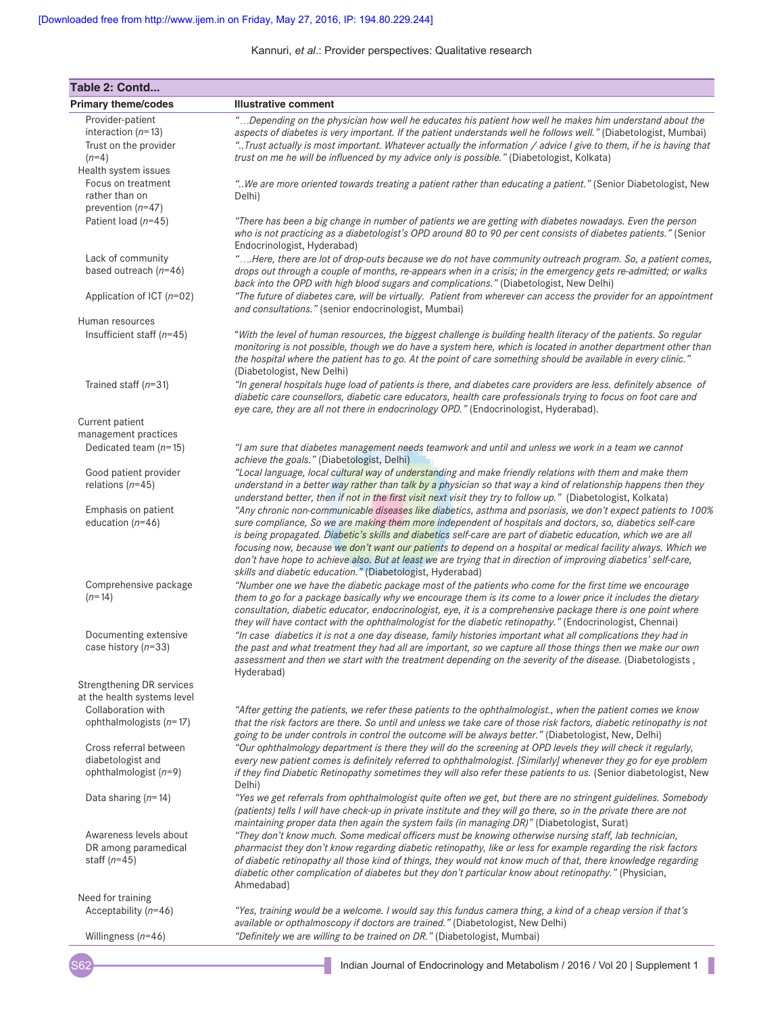| Table 2: Contd                                                   |                                                                                                                                                                                                                                                                                                                                                                                                                                                                                                                                                                                                                                                  |  |
|------------------------------------------------------------------|--------------------------------------------------------------------------------------------------------------------------------------------------------------------------------------------------------------------------------------------------------------------------------------------------------------------------------------------------------------------------------------------------------------------------------------------------------------------------------------------------------------------------------------------------------------------------------------------------------------------------------------------------|--|
| <b>Primary theme/codes</b>                                       | <b>Illustrative comment</b>                                                                                                                                                                                                                                                                                                                                                                                                                                                                                                                                                                                                                      |  |
| Provider-patient<br>interaction $(n=13)$                         | "Depending on the physician how well he educates his patient how well he makes him understand about the<br>aspects of diabetes is very important. If the patient understands well he follows well." (Diabetologist, Mumbai)                                                                                                                                                                                                                                                                                                                                                                                                                      |  |
| Trust on the provider<br>$(n=4)$                                 | "Trust actually is most important. Whatever actually the information / advice I give to them, if he is having that<br>trust on me he will be influenced by my advice only is possible." (Diabetologist, Kolkata)                                                                                                                                                                                                                                                                                                                                                                                                                                 |  |
| Health system issues                                             |                                                                                                                                                                                                                                                                                                                                                                                                                                                                                                                                                                                                                                                  |  |
| Focus on treatment                                               | " We are more oriented towards treating a patient rather than educating a patient." (Senior Diabetologist, New                                                                                                                                                                                                                                                                                                                                                                                                                                                                                                                                   |  |
| rather than on                                                   | Delhi)                                                                                                                                                                                                                                                                                                                                                                                                                                                                                                                                                                                                                                           |  |
| prevention $(n=47)$                                              |                                                                                                                                                                                                                                                                                                                                                                                                                                                                                                                                                                                                                                                  |  |
| Patient load $(n=45)$                                            | "There has been a big change in number of patients we are getting with diabetes nowadays. Even the person<br>who is not practicing as a diabetologist's OPD around 80 to 90 per cent consists of diabetes patients." (Senior<br>Endocrinologist, Hyderabad)                                                                                                                                                                                                                                                                                                                                                                                      |  |
| Lack of community                                                | "Here, there are lot of drop-outs because we do not have community outreach program. So, a patient comes,                                                                                                                                                                                                                                                                                                                                                                                                                                                                                                                                        |  |
| based outreach $(n=46)$                                          | drops out through a couple of months, re-appears when in a crisis; in the emergency gets re-admitted; or walks<br>back into the OPD with high blood sugars and complications." (Diabetologist, New Delhi)                                                                                                                                                                                                                                                                                                                                                                                                                                        |  |
| Application of ICT $(n=02)$                                      | "The future of diabetes care, will be virtually. Patient from wherever can access the provider for an appointment<br>and consultations." (senior endocrinologist, Mumbai)                                                                                                                                                                                                                                                                                                                                                                                                                                                                        |  |
| Human resources                                                  |                                                                                                                                                                                                                                                                                                                                                                                                                                                                                                                                                                                                                                                  |  |
| Insufficient staff $(n=45)$                                      | "With the level of human resources, the biggest challenge is building health literacy of the patients. So regular<br>monitoring is not possible, though we do have a system here, which is located in another department other than<br>the hospital where the patient has to go. At the point of care something should be available in every clinic."<br>(Diabetologist, New Delhi)                                                                                                                                                                                                                                                              |  |
| Trained staff $(n=31)$                                           | "In general hospitals huge load of patients is there, and diabetes care providers are less. definitely absence of<br>diabetic care counsellors, diabetic care educators, health care professionals trying to focus on foot care and<br>eye care, they are all not there in endocrinology OPD." (Endocrinologist, Hyderabad).                                                                                                                                                                                                                                                                                                                     |  |
| Current patient                                                  |                                                                                                                                                                                                                                                                                                                                                                                                                                                                                                                                                                                                                                                  |  |
| management practices                                             |                                                                                                                                                                                                                                                                                                                                                                                                                                                                                                                                                                                                                                                  |  |
| Dedicated team $(n=15)$                                          | "I am sure that diabetes management needs teamwork and until and unless we work in a team we cannot<br>achieve the goals." (Diabetologist, Delhi)                                                                                                                                                                                                                                                                                                                                                                                                                                                                                                |  |
| Good patient provider                                            | "Local language, local cultural way of understanding and make friendly relations with them and make them                                                                                                                                                                                                                                                                                                                                                                                                                                                                                                                                         |  |
| relations $(n=45)$                                               | understand in a better way rather than talk by a physician so that way a kind of relationship happens then they<br>understand better, then if not in the first visit next visit they try to follow up." (Diabetologist, Kolkata)                                                                                                                                                                                                                                                                                                                                                                                                                 |  |
| Emphasis on patient<br>education $(n=46)$                        | "Any chronic non-communicable diseases like diabetics, asthma and psoriasis, we don't expect patients to 100%<br>sure compliance, So we are making them more independent of hospitals and doctors, so, diabetics self-care<br>is being propagated. Diabetic's skills and diabetics self-care are part of diabetic education, which we are all<br>focusing now, because we don't want our patients to depend on a hospital or medical facility always. Which we<br>don't have hope to achieve also. But at least we are trying that in direction of improving diabetics' self-care,<br>skills and diabetic education." (Diabetologist, Hyderabad) |  |
| Comprehensive package<br>$(n=14)$                                | "Number one we have the diabetic package most of the patients who come for the first time we encourage<br>them to go for a package basically why we encourage them is its come to a lower price it includes the dietary<br>consultation, diabetic educator, endocrinologist, eye, it is a comprehensive package there is one point where<br>they will have contact with the ophthalmologist for the diabetic retinopathy." (Endocrinologist, Chennai)                                                                                                                                                                                            |  |
| Documenting extensive<br>case history $(n=33)$                   | "In case diabetics it is not a one day disease, family histories important what all complications they had in<br>the past and what treatment they had all are important, so we capture all those things then we make our own<br>assessment and then we start with the treatment depending on the severity of the disease. (Diabetologists,<br>Hyderabad)                                                                                                                                                                                                                                                                                         |  |
| Strengthening DR services<br>at the health systems level         |                                                                                                                                                                                                                                                                                                                                                                                                                                                                                                                                                                                                                                                  |  |
| Collaboration with<br>ophthalmologists $(n=17)$                  | "After getting the patients, we refer these patients to the ophthalmologist., when the patient comes we know<br>that the risk factors are there. So until and unless we take care of those risk factors, diabetic retinopathy is not<br>going to be under controls in control the outcome will be always better." (Diabetologist, New, Delhi)                                                                                                                                                                                                                                                                                                    |  |
| Cross referral between                                           | "Our ophthalmology department is there they will do the screening at OPD levels they will check it regularly,                                                                                                                                                                                                                                                                                                                                                                                                                                                                                                                                    |  |
| diabetologist and<br>ophthalmologist $(n=9)$                     | every new patient comes is definitely referred to ophthalmologist. [Similarly] whenever they go for eye problem<br>if they find Diabetic Retinopathy sometimes they will also refer these patients to us. (Senior diabetologist, New<br>Delhi)                                                                                                                                                                                                                                                                                                                                                                                                   |  |
| Data sharing $(n=14)$                                            | "Yes we get referrals from ophthalmologist quite often we get, but there are no stringent guidelines. Somebody<br>(patients) tells I will have check-up in private institute and they will go there, so in the private there are not<br>maintaining proper data then again the system fails (in managing DR)" (Diabetologist, Surat)                                                                                                                                                                                                                                                                                                             |  |
| Awareness levels about<br>DR among paramedical<br>staff $(n=45)$ | "They don't know much. Some medical officers must be knowing otherwise nursing staff, lab technician,<br>pharmacist they don't know regarding diabetic retinopathy, like or less for example regarding the risk factors<br>of diabetic retinopathy all those kind of things, they would not know much of that, there knowledge regarding<br>diabetic other complication of diabetes but they don't particular know about retinopathy." (Physician,<br>Ahmedabad)                                                                                                                                                                                 |  |
| Need for training                                                |                                                                                                                                                                                                                                                                                                                                                                                                                                                                                                                                                                                                                                                  |  |
| Acceptability $(n=46)$                                           | "Yes, training would be a welcome. I would say this fundus camera thing, a kind of a cheap version if that's<br>available or opthalmoscopy if doctors are trained." (Diabetologist, New Delhi)                                                                                                                                                                                                                                                                                                                                                                                                                                                   |  |
| Willingness $(n=46)$                                             | "Definitely we are willing to be trained on DR." (Diabetologist, Mumbai)                                                                                                                                                                                                                                                                                                                                                                                                                                                                                                                                                                         |  |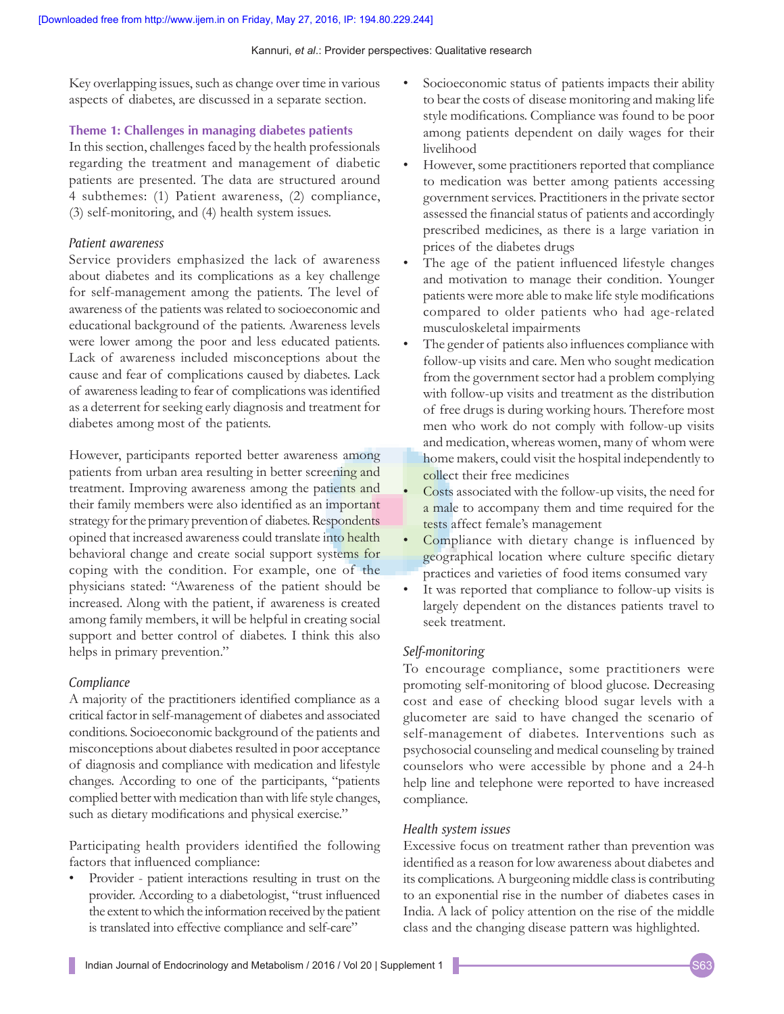Key overlapping issues, such as change over time in various aspects of diabetes, are discussed in a separate section.

### **Theme 1: Challenges in managing diabetes patients**

In this section, challenges faced by the health professionals regarding the treatment and management of diabetic patients are presented. The data are structured around 4 subthemes: (1) Patient awareness, (2) compliance, (3) self-monitoring, and (4) health system issues.

## *Patient awareness*

Service providers emphasized the lack of awareness about diabetes and its complications as a key challenge for self-management among the patients. The level of awareness of the patients was related to socioeconomic and educational background of the patients. Awareness levels were lower among the poor and less educated patients. Lack of awareness included misconceptions about the cause and fear of complications caused by diabetes. Lack of awareness leading to fear of complications was identified as a deterrent for seeking early diagnosis and treatment for diabetes among most of the patients.

However, participants reported better awareness among patients from urban area resulting in better screening and treatment. Improving awareness among the patients and their family members were also identified as an important strategy for the primary prevention of diabetes. Respondents opined that increased awareness could translate into health behavioral change and create social support systems for coping with the condition. For example, one of the physicians stated: "Awareness of the patient should be increased. Along with the patient, if awareness is created among family members, it will be helpful in creating social support and better control of diabetes. I think this also helps in primary prevention."

## *Compliance*

A majority of the practitioners identified compliance as a critical factor in self-management of diabetes and associated conditions. Socioeconomic background of the patients and misconceptions about diabetes resulted in poor acceptance of diagnosis and compliance with medication and lifestyle changes. According to one of the participants, "patients complied better with medication than with life style changes, such as dietary modifications and physical exercise."

Participating health providers identified the following factors that influenced compliance:

• Provider ‑ patient interactions resulting in trust on the provider. According to a diabetologist, "trust influenced the extent to which the information received by the patient is translated into effective compliance and self-care"

- Socioeconomic status of patients impacts their ability to bear the costs of disease monitoring and making life style modifications. Compliance was found to be poor among patients dependent on daily wages for their livelihood
- However, some practitioners reported that compliance to medication was better among patients accessing government services. Practitioners in the private sector assessed the financial status of patients and accordingly prescribed medicines, as there is a large variation in prices of the diabetes drugs
- The age of the patient influenced lifestyle changes and motivation to manage their condition. Younger patients were more able to make life style modifications compared to older patients who had age-related musculoskeletal impairments
- The gender of patients also influences compliance with follow-up visits and care. Men who sought medication from the government sector had a problem complying with follow-up visits and treatment as the distribution of free drugs is during working hours. Therefore most men who work do not comply with follow-up visits and medication, whereas women, many of whom were home makers, could visit the hospital independently to collect their free medicines
- Costs associated with the follow‑up visits, the need for a male to accompany them and time required for the tests affect female's management
- Compliance with dietary change is influenced by geographical location where culture specific dietary practices and varieties of food items consumed vary
- It was reported that compliance to follow-up visits is largely dependent on the distances patients travel to seek treatment.

## *Self‑monitoring*

To encourage compliance, some practitioners were promoting self-monitoring of blood glucose. Decreasing cost and ease of checking blood sugar levels with a glucometer are said to have changed the scenario of self-management of diabetes. Interventions such as psychosocial counseling and medical counseling by trained counselors who were accessible by phone and a 24-h help line and telephone were reported to have increased compliance.

## *Health system issues*

Excessive focus on treatment rather than prevention was identified as a reason for low awareness about diabetes and its complications. Aburgeoning middle class is contributing to an exponential rise in the number of diabetes cases in India. A lack of policy attention on the rise of the middle class and the changing disease pattern was highlighted.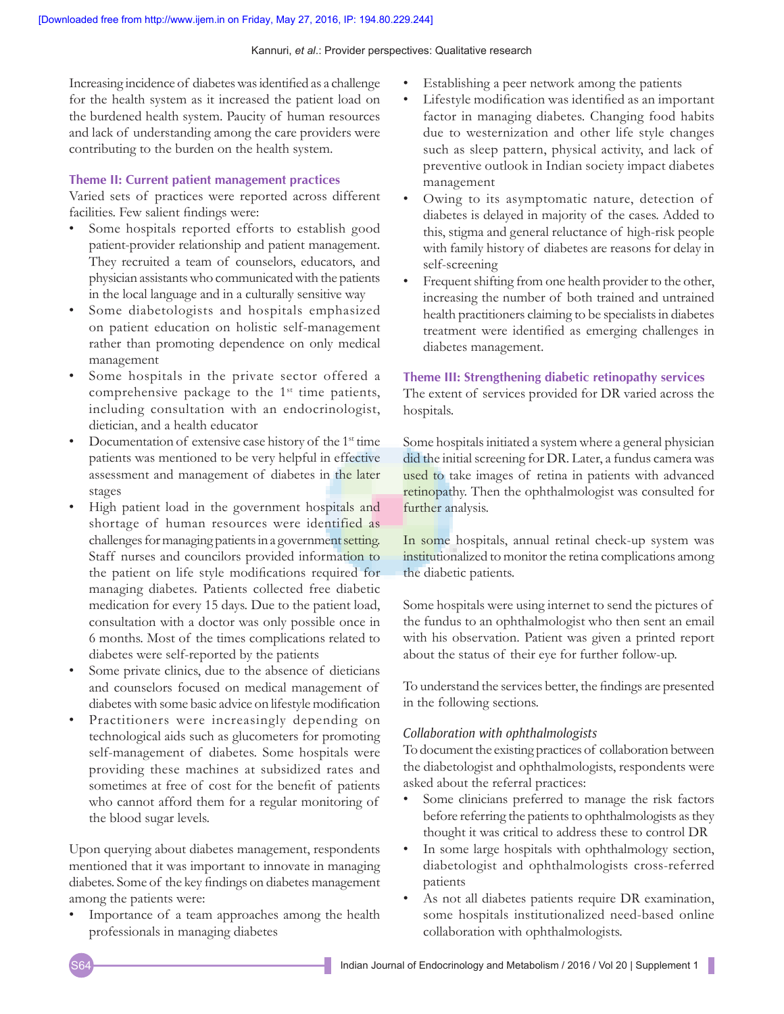Increasing incidence of diabetes was identified as a challenge for the health system as it increased the patient load on the burdened health system. Paucity of human resources and lack of understanding among the care providers were contributing to the burden on the health system.

#### **Theme II: Current patient management practices**

Varied sets of practices were reported across different facilities. Few salient findings were:

- Some hospitals reported efforts to establish good patient-provider relationship and patient management. They recruited a team of counselors, educators, and physician assistants who communicated with the patients in the local language and in a culturally sensitive way
- Some diabetologists and hospitals emphasized on patient education on holistic self-management rather than promoting dependence on only medical management
- Some hospitals in the private sector offered a comprehensive package to the 1<sup>st</sup> time patients, including consultation with an endocrinologist, dietician, and a health educator
- Documentation of extensive case history of the 1<sup>st</sup> time patients was mentioned to be very helpful in effective assessment and management of diabetes in the later stages
- High patient load in the government hospitals and shortage of human resources were identified as challenges for managing patients in a government setting. Staff nurses and councilors provided information to the patient on life style modifications required for managing diabetes. Patients collected free diabetic medication for every 15 days. Due to the patient load, consultation with a doctor was only possible once in 6 months. Most of the times complications related to diabetes were self-reported by the patients
- Some private clinics, due to the absence of dieticians and counselors focused on medical management of diabetes with some basic advice on lifestyle modification
- Practitioners were increasingly depending on technological aids such as glucometers for promoting self-management of diabetes. Some hospitals were providing these machines at subsidized rates and sometimes at free of cost for the benefit of patients who cannot afford them for a regular monitoring of the blood sugar levels.

Upon querying about diabetes management, respondents mentioned that it was important to innovate in managing diabetes. Some of the key findings on diabetes management among the patients were:

Importance of a team approaches among the health professionals in managing diabetes

- Establishing a peer network among the patients
- Lifestyle modification was identified as an important factor in managing diabetes. Changing food habits due to westernization and other life style changes such as sleep pattern, physical activity, and lack of preventive outlook in Indian society impact diabetes management
- Owing to its asymptomatic nature, detection of diabetes is delayed in majority of the cases. Added to this, stigma and general reluctance of high-risk people with family history of diabetes are reasons for delay in self-screening
- Frequent shifting from one health provider to the other, increasing the number of both trained and untrained health practitioners claiming to be specialists in diabetes treatment were identified as emerging challenges in diabetes management.

#### **Theme III: Strengthening diabetic retinopathy services**

The extent of services provided for DR varied across the hospitals.

Some hospitals initiated a system where a general physician did the initial screening for DR. Later, a fundus camera was used to take images of retina in patients with advanced retinopathy. Then the ophthalmologist was consulted for further analysis.

In some hospitals, annual retinal check-up system was institutionalized to monitor the retina complications among the diabetic patients.

Some hospitals were using internet to send the pictures of the fundus to an ophthalmologist who then sent an email with his observation. Patient was given a printed report about the status of their eye for further follow-up.

To understand the services better, the findings are presented in the following sections.

#### *Collaboration with ophthalmologists*

To document the existing practices of collaboration between the diabetologist and ophthalmologists, respondents were asked about the referral practices:

- Some clinicians preferred to manage the risk factors before referring the patients to ophthalmologists as they thought it was critical to address these to control DR
- In some large hospitals with ophthalmology section, diabetologist and ophthalmologists cross-referred patients
- As not all diabetes patients require DR examination, some hospitals institutionalized need-based online collaboration with ophthalmologists.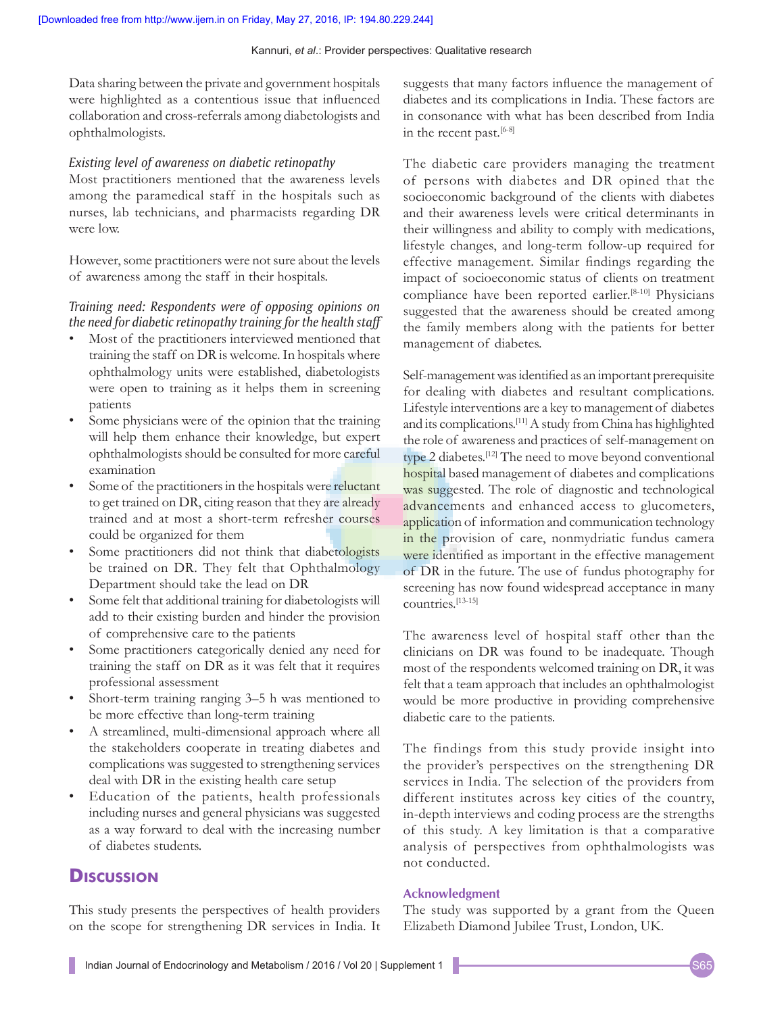Data sharing between the private and government hospitals were highlighted as a contentious issue that influenced collaboration and cross-referrals among diabetologists and ophthalmologists.

#### *Existing level of awareness on diabetic retinopathy*

Most practitioners mentioned that the awareness levels among the paramedical staff in the hospitals such as nurses, lab technicians, and pharmacists regarding DR were low.

However, some practitioners were not sure about the levels of awareness among the staff in their hospitals.

### *Training need: Respondents were of opposing opinions on the need for diabetic retinopathy training for the health staff*

- Most of the practitioners interviewed mentioned that training the staff on DR is welcome. In hospitals where ophthalmology units were established, diabetologists were open to training as it helps them in screening patients
- Some physicians were of the opinion that the training will help them enhance their knowledge, but expert ophthalmologists should be consulted for more careful examination
- Some of the practitioners in the hospitals were reluctant to get trained on DR, citing reason that they are already trained and at most a short-term refresher courses could be organized for them
- Some practitioners did not think that diabetologists be trained on DR. They felt that Ophthalmology Department should take the lead on DR
- Some felt that additional training for diabetologists will add to their existing burden and hinder the provision of comprehensive care to the patients
- Some practitioners categorically denied any need for training the staff on DR as it was felt that it requires professional assessment
- Short-term training ranging 3–5 h was mentioned to be more effective than long-term training
- A streamlined, multi-dimensional approach where all the stakeholders cooperate in treating diabetes and complications was suggested to strengthening services deal with DR in the existing health care setup
- Education of the patients, health professionals including nurses and general physicians was suggested as a way forward to deal with the increasing number of diabetes students.

## **Discussion**

This study presents the perspectives of health providers on the scope for strengthening DR services in India. It suggests that many factors influence the management of diabetes and its complications in India. These factors are in consonance with what has been described from India in the recent past.<sup>[6-8]</sup>

The diabetic care providers managing the treatment of persons with diabetes and DR opined that the socioeconomic background of the clients with diabetes and their awareness levels were critical determinants in their willingness and ability to comply with medications, lifestyle changes, and long-term follow-up required for effective management. Similar findings regarding the impact of socioeconomic status of clients on treatment compliance have been reported earlier.<sup>[8-10]</sup> Physicians suggested that the awareness should be created among the family members along with the patients for better management of diabetes.

Self-management was identified as an important prerequisite for dealing with diabetes and resultant complications. Lifestyle interventions are a key to management of diabetes and its complications.[11] A study from China has highlighted the role of awareness and practices of self-management on type 2 diabetes.[12] The need to move beyond conventional hospital based management of diabetes and complications was suggested. The role of diagnostic and technological advancements and enhanced access to glucometers, application of information and communication technology in the provision of care, nonmydriatic fundus camera were identified as important in the effective management of DR in the future. The use of fundus photography for screening has now found widespread acceptance in many countries.[13-15]

The awareness level of hospital staff other than the clinicians on DR was found to be inadequate. Though most of the respondents welcomed training on DR, it was felt that a team approach that includes an ophthalmologist would be more productive in providing comprehensive diabetic care to the patients.

The findings from this study provide insight into the provider's perspectives on the strengthening DR services in India. The selection of the providers from different institutes across key cities of the country, in-depth interviews and coding process are the strengths of this study. A key limitation is that a comparative analysis of perspectives from ophthalmologists was not conducted.

## **Acknowledgment**

The study was supported by a grant from the Queen Elizabeth Diamond Jubilee Trust, London, UK.